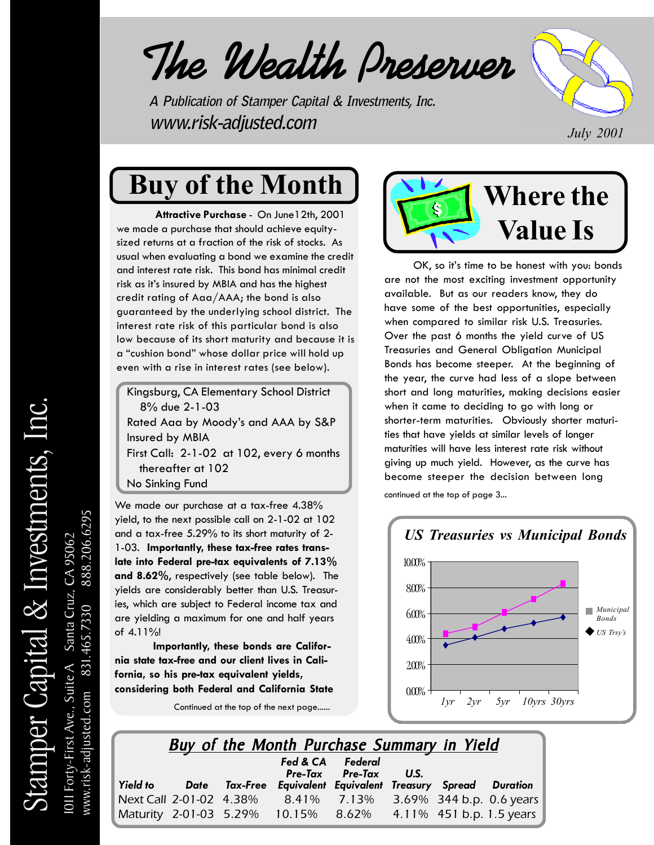# *The Wealth Preserver Wealth Preserver Wealth Preserver*

**A Publication of Stamper Capital & Investments, Inc. www.risk-adjusted.com** *July 2001*



# **Buy of the Month**

**Attractive Purchase** - On June12th, 2001 we made a purchase that should achieve equitysized returns at a fraction of the risk of stocks. As usual when evaluating a bond we examine the credit and interest rate risk. This bond has minimal credit risk as it's insured by MBIA and has the highest credit rating of Aaa/AAA; the bond is also guaranteed by the underlying school district. The interest rate risk of this particular bond is also low because of its short maturity and because it is a "cushion bond" whose dollar price will hold up even with a rise in interest rates (see below).

Kingsburg, CA Elementary School District 8% due 2-1-03

Rated Aaa by Moody's and AAA by S&P Insured by MBIA First Call: 2-1-02 at 102, every 6 months thereafter at 102 No Sinking Fund

We made our purchase at a tax-free 4.38% yield, to the next possible call on 2-1-02 at 102 and a tax-free 5.29% to its short maturity of 2- 1-03. **Importantly, these tax-free rates translate into Federal pre-tax equivalents of 7.13% and 8.62%**, respectively (see table below). The yields are considerably better than U.S. Treasuries, which are subject to Federal income tax and are yielding a maximum for one and half years of 4.11%!

**Importantly, these bonds are California state tax-free and our client lives in California, so his pre-tax equivalent yields, considering both Federal and California State**

Continued at the top of the next page......



 OK, so it's time to be honest with you: bonds are not the most exciting investment opportunity available. But as our readers know, they do have some of the best opportunities, especially when compared to similar risk U.S. Treasuries. Over the past 6 months the yield curve of US Treasuries and General Obligation Municipal Bonds has become steeper. At the beginning of the year, the curve had less of a slope between short and long maturities, making decisions easier when it came to deciding to go with long or shorter-term maturities. Obviously shorter maturities that have yields at similar levels of longer maturities will have less interest rate risk without giving up much yield. However, as the curve has become steeper the decision between long

continued at the top of page 3...



|                 |      | <b>Buy of the Month Purchase Summary in Yield</b>       |                  |           |  |
|-----------------|------|---------------------------------------------------------|------------------|-----------|--|
|                 |      |                                                         | Fed & CA Federal |           |  |
| <b>Yield to</b> | Date | Tax-Free Equivalent Equivalent Treasury Spread Duration | Pre-Tax Pre-Tax  | <b>US</b> |  |

*Next Call 2-01-02 4.38% 8.41% 7.13% 3.69% 344 b.p. 0.6 years Maturity 2-01-03 5.29% 10.15% 8.62% 4.11% 451 b.p. 1.5 years*

www.risk-adjusted.com 831.465.7330 888.206.6295

888.206.6295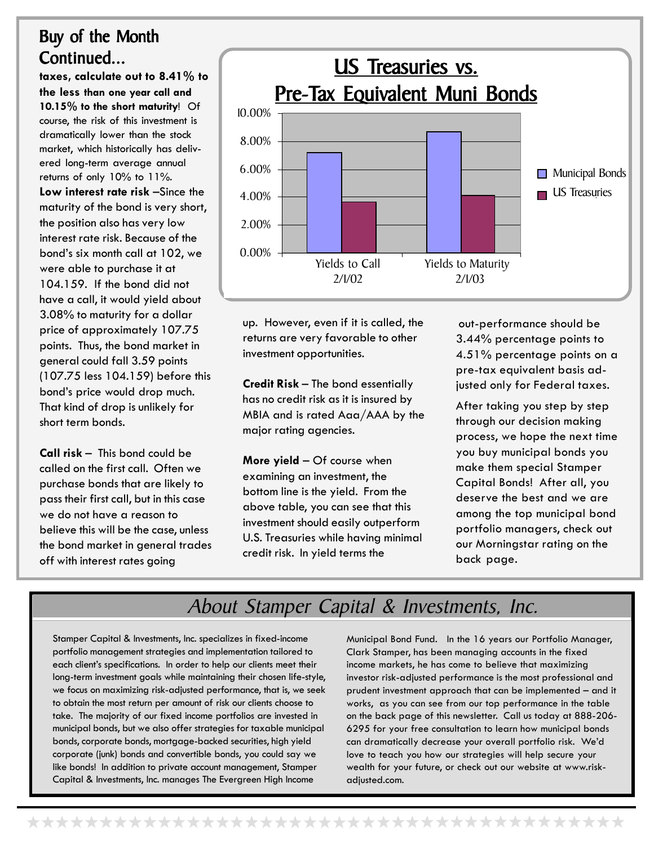#### Buy of the Month Continued...

**taxes, calculate out to 8.41% to the less than one year call and 10.15% to the short maturity**! Of course, the risk of this investment is dramatically lower than the stock market, which historically has delivered long-term average annual returns of only 10% to 11%. **Low interest rate risk** –Since the maturity of the bond is very short, the position also has very low interest rate risk. Because of the bond's six month call at 102, we were able to purchase it at 104.159. If the bond did not have a call, it would yield about 3.08% to maturity for a dollar price of approximately 107.75 points. Thus, the bond market in general could fall 3.59 points (107.75 less 104.159) before this bond's price would drop much. That kind of drop is unlikely for short term bonds.

**Call risk** – This bond could be called on the first call. Often we purchase bonds that are likely to pass their first call, but in this case we do not have a reason to believe this will be the case, unless the bond market in general trades off with interest rates going



up. However, even if it is called, the returns are very favorable to other investment opportunities.

**Credit Risk** – The bond essentially has no credit risk as it is insured by MBIA and is rated Aaa/AAA by the major rating agencies.

**More yield** – Of course when examining an investment, the bottom line is the yield. From the above table, you can see that this investment should easily outperform U.S. Treasuries while having minimal credit risk. In yield terms the

 out-performance should be 3.44% percentage points to 4.51% percentage points on a pre-tax equivalent basis adjusted only for Federal taxes.

After taking you step by step through our decision making process, we hope the next time you buy municipal bonds you make them special Stamper Capital Bonds! After all, you deserve the best and we are among the top municipal bond portfolio managers, check out our Morningstar rating on the back page.

#### About Stamper Capital & Investments, Inc.

Stamper Capital & Investments, Inc. specializes in fixed-income portfolio management strategies and implementation tailored to each client's specifications. In order to help our clients meet their long-term investment goals while maintaining their chosen life-style, we focus on maximizing risk-adjusted performance, that is, we seek to obtain the most return per amount of risk our clients choose to take. The majority of our fixed income portfolios are invested in municipal bonds, but we also offer strategies for taxable municipal bonds, corporate bonds, mortgage-backed securities, high yield corporate (junk) bonds and convertible bonds, you could say we like bonds! In addition to private account management, Stamper Capital & Investments, Inc. manages The Evergreen High Income

Municipal Bond Fund. In the 16 years our Portfolio Manager, Clark Stamper, has been managing accounts in the fixed income markets, he has come to believe that maximizing investor risk-adjusted performance is the most professional and prudent investment approach that can be implemented – and it works, as you can see from our top performance in the table on the back page of this newsletter. Call us today at 888-206- 6295 for your free consultation to learn how municipal bonds can dramatically decrease your overall portfolio risk. We'd love to teach you how our strategies will help secure your wealth for your future, or check out our website at www.riskadjusted.com.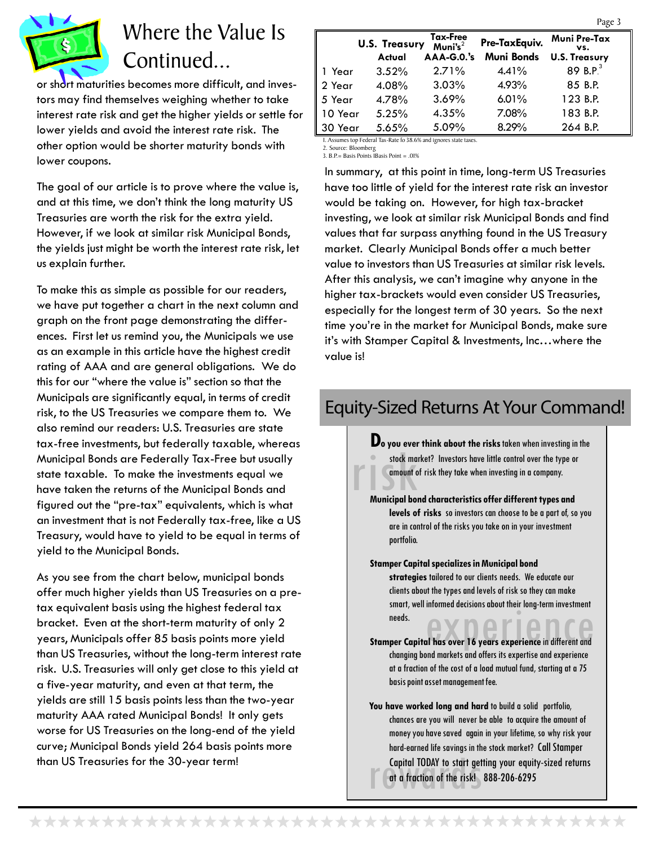

## Where the Value Is Continued...

or short maturities becomes more difficult, and investors may find themselves weighing whether to take interest rate risk and get the higher yields or settle for lower yields and avoid the interest rate risk. The other option would be shorter maturity bonds with lower coupons.

The goal of our article is to prove where the value is, and at this time, we don't think the long maturity US Treasuries are worth the risk for the extra yield. However, if we look at similar risk Municipal Bonds, the yields just might be worth the interest rate risk, let us explain further.

To make this as simple as possible for our readers, we have put together a chart in the next column and graph on the front page demonstrating the differences. First let us remind you, the Municipals we use as an example in this article have the highest credit rating of AAA and are general obligations. We do this for our "where the value is" section so that the Municipals are significantly equal, in terms of credit risk, to the US Treasuries we compare them to. We also remind our readers: U.S. Treasuries are state tax-free investments, but federally taxable, whereas Municipal Bonds are Federally Tax-Free but usually state taxable. To make the investments equal we have taken the returns of the Municipal Bonds and figured out the "pre-tax" equivalents, which is what an investment that is not Federally tax-free, like a US Treasury, would have to yield to be equal in terms of yield to the Municipal Bonds.

As you see from the chart below, municipal bonds offer much higher yields than US Treasuries on a pretax equivalent basis using the highest federal tax bracket. Even at the short-term maturity of only 2 years, Municipals offer 85 basis points more yield than US Treasuries, without the long-term interest rate risk. U.S. Treasuries will only get close to this yield at a five-year maturity, and even at that term, the yields are still 15 basis points less than the two-year maturity AAA rated Municipal Bonds! It only gets worse for US Treasuries on the long-end of the yield curve; Municipal Bonds yield 264 basis points more than US Treasuries for the 30-year term!

|         |                      |                                 |                   | r agu b              |  |
|---------|----------------------|---------------------------------|-------------------|----------------------|--|
|         | <b>U.S. Treasury</b> | Tax-Free<br>Muni's <sup>2</sup> | Pre-TaxEquiv.     | Muni Pre-Tax<br>VS.  |  |
|         | Actual               | $AAA-G.0.'s$                    | <b>Muni Bonds</b> | <b>U.S. Treasury</b> |  |
| 1 Year  | 3.52%                | 2.71%                           | 4.41%             | 89 B.P. $3$          |  |
| 2 Year  | 4.08%                | 3.03%                           | 4.93%             | 85 B.P.              |  |
| 5 Year  | 4.78%                | 3.69%                           | $6.01\%$          | 123 B.P.             |  |
| 10 Year | 5.25%                | 4.35%                           | 7.08%             | 183 B.P.             |  |
| 30 Year | 5.65%                | 5.09%                           | 8.29%             | 264 B.P.             |  |
|         |                      |                                 |                   |                      |  |

Assumes top Federal Tax-Rate fo 38.6% and ignores state taxes.

2. Source: Bloomberg 3. B.P.= Basis Points 1Basis Point = .01%

In summary, at this point in time, long-term US Treasuries have too little of yield for the interest rate risk an investor would be taking on. However, for high tax-bracket investing, we look at similar risk Municipal Bonds and find values that far surpass anything found in the US Treasury market. Clearly Municipal Bonds offer a much better value to investors than US Treasuries at similar risk levels. After this analysis, we can't imagine why anyone in the higher tax-brackets would even consider US Treasuries, especially for the longest term of 30 years. So the next time you're in the market for Municipal Bonds, make sure it's with Stamper Capital & Investments, Inc…where the value is!

#### Equity-Sized Returns At Your Command!

**Example 20 you ever trains about the fisks facent when investing is<br>
stock market? Investors have little control over the type of<br>
amount of risk they take when investing in a company.<br>
Municipal bond characteristics offe Do you ever think about the risks** taken when investing in the stock market? Investors have little control over the type or amount of risk they take when investing in a company.

**levels of risks** so investors can choose to be a part of, so you are in control of the risks you take on in your investment portfolio.

smart, well informed decisions about their long-term investment<br>needs.<br>**Stamper Capital has over 16 years experience** in different and **Stamper Capital specializes in Municipal bond strategies** tailored to our clients needs. We educate our clients about the types and levels of risk so they can make smart, well informed decisions about their long-term investment needs.

changing bond markets and offers its expertise and experience at a fraction of the cost of a load mutual fund, starting at a 75 basis point asset management fee.

Capital TODAY to start getting your equity-sized returns<br>
at a fraction of the risk! 888-206-6295 **You have worked long and hard** to build a solid portfolio, chances are you will never be able to acquire the amount of money you have saved again in your lifetime, so why risk your hard-earned life savings in the stock market? Call Stamper at a fraction of the risk! 888-206-6295